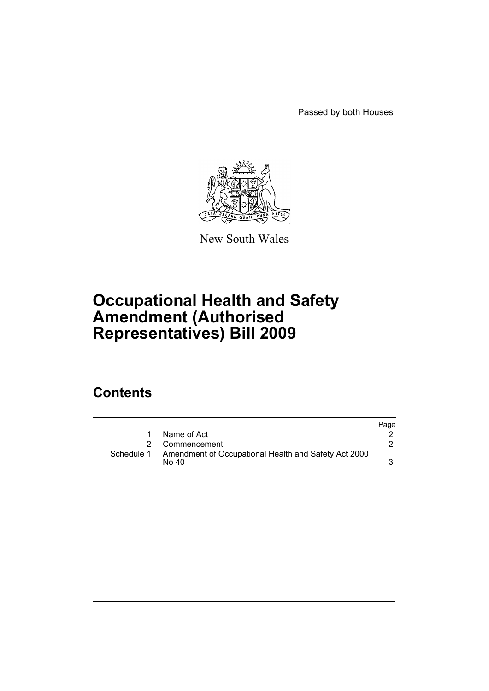Passed by both Houses



New South Wales

# **Occupational Health and Safety Amendment (Authorised Representatives) Bill 2009**

## **Contents**

|            |                                                               | Page |
|------------|---------------------------------------------------------------|------|
| 1.         | Name of Act                                                   |      |
|            | 2 Commencement                                                |      |
| Schedule 1 | Amendment of Occupational Health and Safety Act 2000<br>No 40 |      |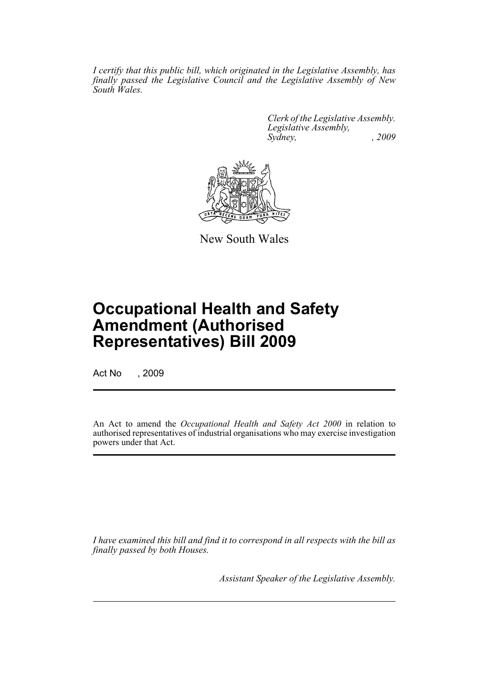*I certify that this public bill, which originated in the Legislative Assembly, has finally passed the Legislative Council and the Legislative Assembly of New South Wales.*

> *Clerk of the Legislative Assembly. Legislative Assembly, Sydney, , 2009*



New South Wales

## **Occupational Health and Safety Amendment (Authorised Representatives) Bill 2009**

Act No , 2009

An Act to amend the *Occupational Health and Safety Act 2000* in relation to authorised representatives of industrial organisations who may exercise investigation powers under that Act.

*I have examined this bill and find it to correspond in all respects with the bill as finally passed by both Houses.*

*Assistant Speaker of the Legislative Assembly.*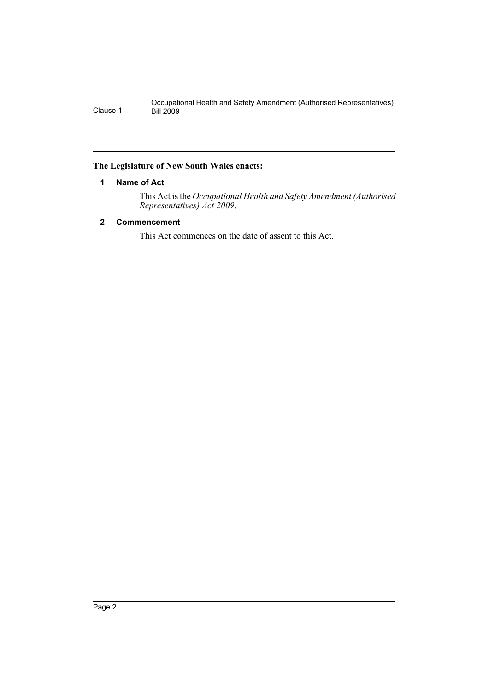Occupational Health and Safety Amendment (Authorised Representatives) Clause 1 Bill 2009

### <span id="page-2-0"></span>**The Legislature of New South Wales enacts:**

### **1 Name of Act**

This Act is the *Occupational Health and Safety Amendment (Authorised Representatives) Act 2009*.

## <span id="page-2-1"></span>**2 Commencement**

This Act commences on the date of assent to this Act.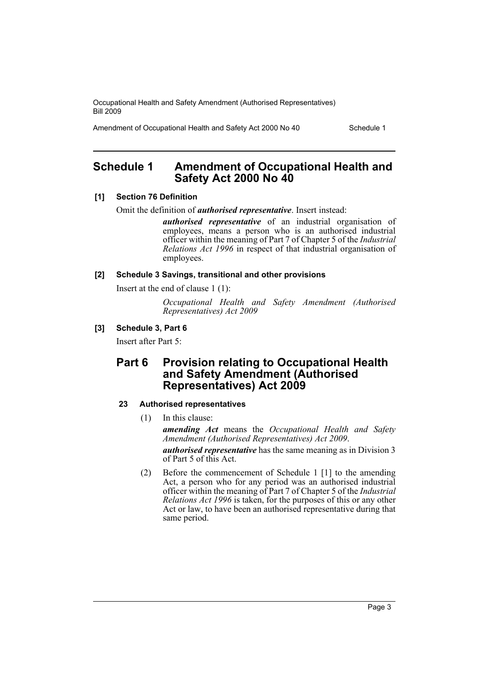Occupational Health and Safety Amendment (Authorised Representatives) Bill 2009

Amendment of Occupational Health and Safety Act 2000 No 40 Schedule 1

## <span id="page-3-0"></span>**Schedule 1 Amendment of Occupational Health and Safety Act 2000 No 40**

#### **[1] Section 76 Definition**

Omit the definition of *authorised representative*. Insert instead:

*authorised representative* of an industrial organisation of employees, means a person who is an authorised industrial officer within the meaning of Part 7 of Chapter 5 of the *Industrial Relations Act 1996* in respect of that industrial organisation of employees.

**[2] Schedule 3 Savings, transitional and other provisions**

Insert at the end of clause 1 (1):

*Occupational Health and Safety Amendment (Authorised Representatives) Act 2009*

## **[3] Schedule 3, Part 6**

Insert after Part 5:

## **Part 6 Provision relating to Occupational Health and Safety Amendment (Authorised Representatives) Act 2009**

## **23 Authorised representatives**

(1) In this clause:

*amending Act* means the *Occupational Health and Safety Amendment (Authorised Representatives) Act 2009*.

*authorised representative* has the same meaning as in Division 3 of Part 5 of this Act.

(2) Before the commencement of Schedule 1 [1] to the amending Act, a person who for any period was an authorised industrial officer within the meaning of Part 7 of Chapter 5 of the *Industrial Relations Act 1996* is taken, for the purposes of this or any other Act or law, to have been an authorised representative during that same period.